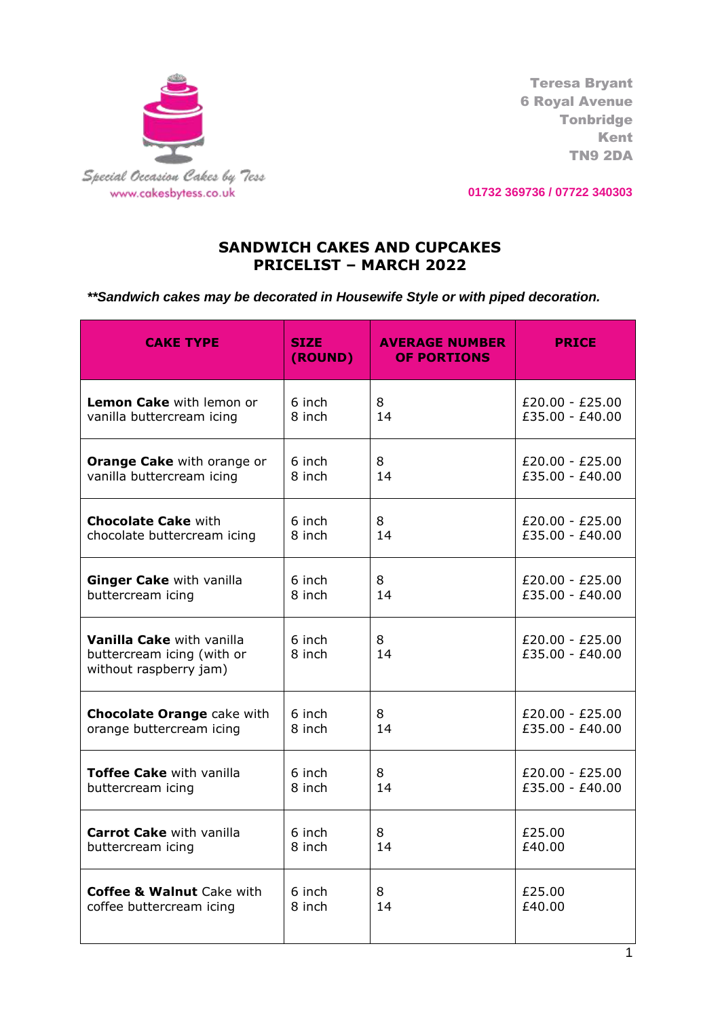

Teresa Bryant 6 Royal Avenue Tonbridge Kent TN9 2DA

**01732 369736 / 07722 340303**

## **SANDWICH CAKES AND CUPCAKES PRICELIST – MARCH 2022**

*\*\*Sandwich cakes may be decorated in Housewife Style or with piped decoration.* 

| <b>CAKE TYPE</b>                                                                         | <b>AVERAGE NUMBER</b><br><b>SIZE</b><br>(ROUND)<br><b>OF PORTIONS</b> |         | <b>PRICE</b>                         |
|------------------------------------------------------------------------------------------|-----------------------------------------------------------------------|---------|--------------------------------------|
| <b>Lemon Cake</b> with lemon or<br>vanilla buttercream icing                             | 6 inch<br>8<br>8 inch<br>14                                           |         | £20.00 - £25.00<br>£35.00 - £40.00   |
| Orange Cake with orange or<br>vanilla buttercream icing                                  | 6 inch<br>8<br>8 inch<br>14                                           |         | $£20.00 - £25.00$<br>£35.00 - £40.00 |
| <b>Chocolate Cake with</b><br>chocolate buttercream icing                                | 6 inch<br>8<br>8 inch<br>14                                           |         | $£20.00 - £25.00$<br>£35.00 - £40.00 |
| Ginger Cake with vanilla<br>buttercream icing                                            | 6 inch<br>8<br>8 inch<br>14                                           |         | $£20.00 - £25.00$<br>£35.00 - £40.00 |
| <b>Vanilla Cake with vanilla</b><br>buttercream icing (with or<br>without raspberry jam) | 6 inch<br>8 inch                                                      | 8<br>14 | $£20.00 - £25.00$<br>£35.00 - £40.00 |
| <b>Chocolate Orange cake with</b><br>orange buttercream icing                            | 6 inch<br>8<br>8 inch<br>14                                           |         | $£20.00 - £25.00$<br>£35.00 - £40.00 |
| <b>Toffee Cake with vanilla</b><br>buttercream icing                                     | 6 inch<br>8 inch                                                      | 8<br>14 | $£20.00 - £25.00$<br>£35.00 - £40.00 |
| <b>Carrot Cake</b> with vanilla<br>buttercream icing                                     | 6 inch<br>8<br>14<br>8 inch                                           |         | £25.00<br>£40.00                     |
| <b>Coffee &amp; Walnut Cake with</b><br>coffee buttercream icing                         | 6 inch<br>8 inch                                                      | 8<br>14 | £25.00<br>£40.00                     |